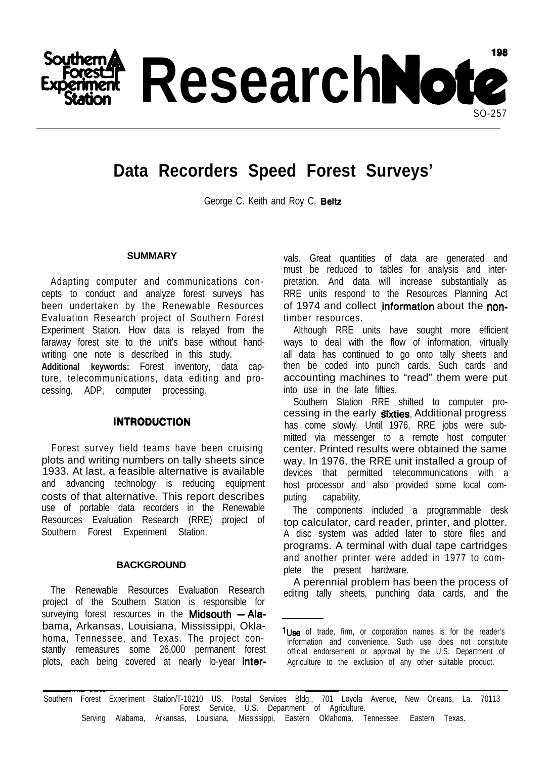

# **Data Recorders Speed Forest Surveys'**

George C. Keith and Roy C. Beltz

### **SUMMARY**

Adapting computer and communications concepts to conduct and analyze forest surveys has been undertaken by the Renewable Resources Evaluation Research project of Southern Forest Experiment Station. How data is relayed from the faraway forest site to the unit's base without handwriting one note is described in this study.

**Additional keywords:** Forest inventory, data capture, telecommunications, data editing and processing, ADP, computer processing.

## **INTRODUCTlON**

Forest survey field teams have been cruising plots and writing numbers on tally sheets since 1933. At last, a feasible alternative is available and advancing technology is reducing equipment costs of that alternative. This report describes use of portable data recorders in the Renewable Resources Evaluation Research (RRE) project of Southern Forest Experiment Station.

#### **BACKGROUND**

The Renewable Resources Evaluation Research project of the Southern Station is responsible for surveying forest resources in the **Midsouth**  $-$  Alabama, Arkansas, Louisiana, Mississippi, Oklahoma, Tennessee, and Texas. The project constantly remeasures some 26,000 permanent forest plots, each being covered at nearly lo-year intervals. Great quantities of data are generated and must be reduced to tables for analysis and interpretation. And data will increase substantially as RRE units respond to the Resources Planning Act of 1974 and collect information about the nontimber resources.

Although RRE units have sought more efficient ways to deal with the flow of information, virtually all data has continued to go onto tally sheets and then be coded into punch cards. Such cards and accounting machines to "read" them were put into use in the late fifties.

Southern Station RRE shifted to computer processing in the early **stxties**. Additional progress has come slowly. Until 1976, RRE jobs were submitted via messenger to a remote host computer center. Printed results were obtained the same way. In 1976, the RRE unit installed a group of devices that permitted telecommunications with a host processor and also provided some local computing capability.

The components included a programmable desk top calculator, card reader, printer, and plotter. A disc system was added later to store files and programs. A terminal with dual tape cartridges and another printer were added in 1977 to complete the present hardware.

A perennial problem has been the process of editing tally sheets, punching data cards, and the

Southern Forest Experiment Station/T-10210 US. Postal Services Bldg., 701 Loyola Avenue, New Orleans, La. 70113 Forest Service, U.S. Department of Agriculture. Serving Alabama, Arkansas, Louisiana, Mississippi, Eastern Oklahoma, Tennessee, Eastern Texas.

**<sup>1</sup>Use** of trade, firm, or corporation names is for the reader's information and convenience. Such use does not constitute official endorsement or approval by the U.S. Department of Agriculture to the exclusion of any other suitable product.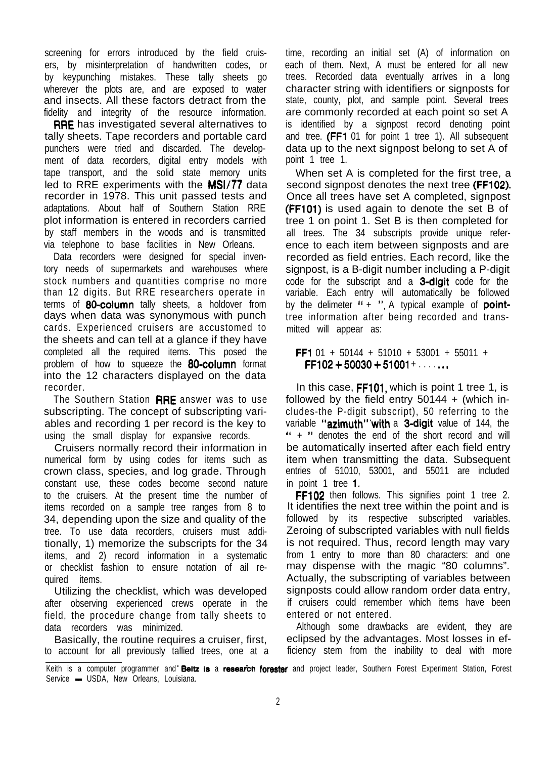screening for errors introduced by the field cruisers, by misinterpretation of handwritten codes, or by keypunching mistakes. These tally sheets go wherever the plots are, and are exposed to water and insects. All these factors detract from the fidelity and integrity of the resource information.

RRE has investigated several alternatives to tally sheets. Tape recorders and portable card punchers were tried and discarded. The development of data recorders, digital entry models with tape transport, and the solid state memory units led to RRE experiments with the  $MSI/77$  data recorder in 1978. This unit passed tests and adaptations. About half of Southern Station RRE plot information is entered in recorders carried by staff members in the woods and is transmitted via telephone to base facilities in New Orleans.

Data recorders were designed for special inventory needs of supermarkets and warehouses where stock numbers and quantities comprise no more than 12 digits. But RRE researchers operate in terms of **80-column** tally sheets, a holdover from days when data was synonymous with punch cards. Experienced cruisers are accustomed to the sheets and can tell at a glance if they have completed all the required items. This posed the problem of how to squeeze the 80-column format into the 12 characters displayed on the data recorder.

The Southern Station RRE answer was to use subscripting. The concept of subscripting variables and recording 1 per record is the key to using the small display for expansive records.

Cruisers normally record their information in numerical form by using codes for items such as crown class, species, and log grade. Through constant use, these codes become second nature to the cruisers. At the present time the number of items recorded on a sample tree ranges from 8 to 34, depending upon the size and quality of the tree. To use data recorders, cruisers must additionally, 1) memorize the subscripts for the 34 items, and 2) record information in a systematic or checklist fashion to ensure notation of ail required items.

Utilizing the checklist, which was developed after observing experienced crews operate in the field, the procedure change from tally sheets to data recorders was minimized.

Basically, the routine requires a cruiser, first, to account for all previously tallied trees, one at a

time, recording an initial set (A) of information on each of them. Next, A must be entered for all new trees. Recorded data eventually arrives in a long character string with identifiers or signposts for state, county, plot, and sample point. Several trees are commonly recorded at each point so set A is identified by a signpost record denoting point and tree. (FF1 01 for point 1 tree 1). All subsequent data up to the next signpost belong to set A of point 1 tree 1.

When set A is completed for the first tree, a second signpost denotes the next tree (FF102). Once all trees have set A completed, signpost (FF101) is used again to denote the set B of tree 1 on point 1. Set B is then completed for all trees. The 34 subscripts provide unique reference to each item between signposts and are recorded as field entries. Each record, like the signpost, is a B-digit number including a P-digit code for the subscript and a 3-digit code for the variable. Each entry will automatically be followed by the delimeter " + ". A typical example of **point** tree information after being recorded and transmitted will appear as:

## FFl 01 + 50144 + 51010 + 53001 + 55011 +  $FF102 + 50030 + 51001 + ...$

In this case, FF101, which is point 1 tree 1, is followed by the field entry  $50144 +$  (which includes-the P-digit subscript), 50 referring to the variable "**azimuth"** with a 3-digit value of 144, the " + " denotes the end of the short record and will be automatically inserted after each field entry item when transmitting the data. Subsequent entries of 51010, 53001, and 55011 are included in point 1 tree 1.

FF102 then follows. This signifies point 1 tree 2. It identifies the next tree within the point and is followed by its respective subscripted variables. Zeroing of subscripted variables with null fields is not required. Thus, record length may vary from 1 entry to more than 80 characters: and one may dispense with the magic "80 columns". Actually, the subscripting of variables between signposts could allow random order data entry, if cruisers could remember which items have been entered or not entered.

Although some drawbacks are evident, they are eclipsed by the advantages. Most losses in efficiency stem from the inability to deal with more

Keith is a computer programmer and **Beltz is a research forester** and project leader, Southern Forest Experiment Station, Forest Service - USDA, New Orleans, Louisiana.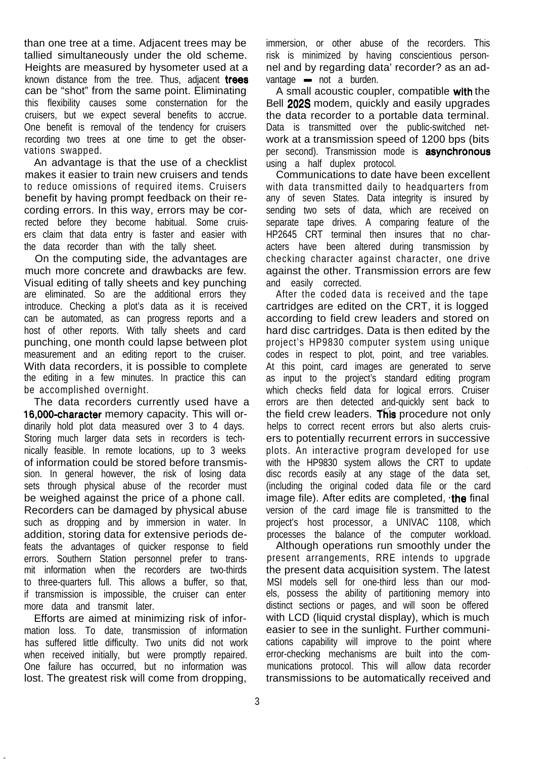than one tree at a time. Adjacent trees may be tallied simultaneously under the old scheme. Heights are measured by hysometer used at a known distance from the tree. Thus, adjacent trees can be "shot" from the same point. Eliminating this flexibility causes some consternation for the cruisers, but we expect several benefits to accrue. One benefit is removal of the tendency for cruisers recording two trees at one time to get the observations swapped.

An advantage is that the use of a checklist makes it easier to train new cruisers and tends to reduce omissions of required items. Cruisers benefit by having prompt feedback on their recording errors. In this way, errors may be corrected before they become habitual. Some cruisers claim that data entry is faster and easier with the data recorder than with the tally sheet.

On the computing side, the advantages are much more concrete and drawbacks are few. Visual editing of tally sheets and key punching are eliminated. So are the additional errors they introduce. Checking a plot's data as it is received can be automated, as can progress reports and a host of other reports. With tally sheets and card punching, one month could lapse between plot measurement and an editing report to the cruiser. With data recorders, it is possible to complete the editing in a few minutes. In practice this can be accomplished overnight.

The data recorders currently used have a 16,000-character memory capacity. This will ordinarily hold plot data measured over 3 to 4 days. Storing much larger data sets in recorders is technically feasible. In remote locations, up to 3 weeks of information could be stored before transmission. In general however, the risk of losing data sets through physical abuse of the recorder must be weighed against the price of a phone call. Recorders can be damaged by physical abuse such as dropping and by immersion in water. In addition, storing data for extensive periods defeats the advantages of quicker response to field errors. Southern Station personnel prefer to transmit information when the recorders are two-thirds to three-quarters full. This allows a buffer, so that, if transmission is impossible, the cruiser can enter more data and transmit later.

Efforts are aimed at minimizing risk of information loss. To date, transmission of information has suffered little difficulty. Two units did not work when received initially, but were promptly repaired. One failure has occurred, but no information was lost. The greatest risk will come from dropping,

immersion, or other abuse of the recorders. This risk is minimized by having conscientious personnel and by regarding data' recorder? as an advantage  $-$  not a burden.

A small acoustic coupler, compatible with the Bell 202S modem, quickly and easily upgrades the data recorder to a portable data terminal. Data is transmitted over the public-switched network at a transmission speed of 1200 bps (bits per second). Transmission mode is asynchronous using a half duplex protocol.

Communications to date have been excellent with data transmitted daily to headquarters from any of seven States. Data integrity is insured by sending two sets of data, which are received on separate tape drives. A comparing feature of the HP2645 CRT terminal then insures that no characters have been altered during transmission by checking character against character, one drive against the other. Transmission errors are few and easily corrected.

After the coded data is received and the tape cartridges are edited on the CRT, it is logged according to field crew leaders and stored on hard disc cartridges. Data is then edited by the project's HP9830 computer system using unique codes in respect to plot, point, and tree variables. At this point, card images are generated to serve as input to the project's standard editing program which checks field data for logical errors. Cruiser errors are then detected and-quickly sent back to the field crew leaders. This procedure not only helps to correct recent errors but also alerts cruisers to potentially recurrent errors in successive plots. An interactive program developed for use with the HP9830 system allows the CRT to update disc records easily at any stage of the data set, (including the original coded data file or the card image file). After edits are completed, the final version of the card image file is transmitted to the project's host processor, a UNIVAC 1108, which processes the balance of the computer workload.

Although operations run smoothly under the present arrangements, RRE intends to upgrade the present data acquisition system. The latest MSI models sell for one-third less than our models, possess the ability of partitioning memory into distinct sections or pages, and will soon be offered with LCD (liquid crystal display), which is much easier to see in the sunlight. Further communications capability will improve to the point where error-checking mechanisms are built into the communications protocol. This will allow data recorder transmissions to be automatically received and